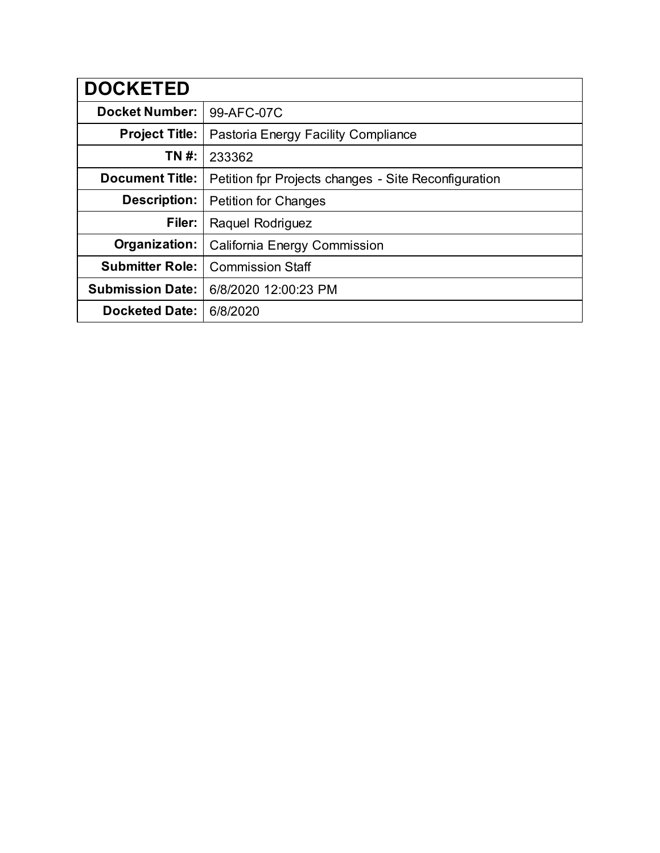| <b>DOCKETED</b>         |                                                      |
|-------------------------|------------------------------------------------------|
| <b>Docket Number:</b>   | 99-AFC-07C                                           |
| <b>Project Title:</b>   | Pastoria Energy Facility Compliance                  |
| TN #:                   | 233362                                               |
| <b>Document Title:</b>  | Petition for Projects changes - Site Reconfiguration |
| Description:            | <b>Petition for Changes</b>                          |
| Filer:                  | Raquel Rodriguez                                     |
| Organization:           | California Energy Commission                         |
| <b>Submitter Role:</b>  | <b>Commission Staff</b>                              |
| <b>Submission Date:</b> | 6/8/2020 12:00:23 PM                                 |
| <b>Docketed Date:</b>   | 6/8/2020                                             |